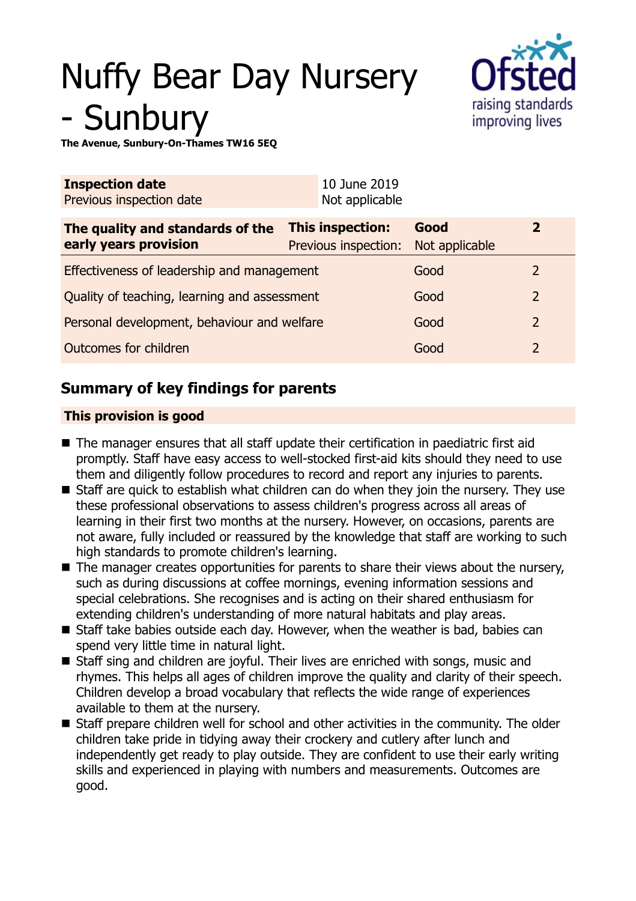# Nuffy Bear Day Nursery **Sunbury**



**The Avenue, Sunbury-On-Thames TW16 5EQ**

| <b>Inspection date</b><br>Previous inspection date        | 10 June 2019<br>Not applicable                  |                        |               |
|-----------------------------------------------------------|-------------------------------------------------|------------------------|---------------|
| The quality and standards of the<br>early years provision | <b>This inspection:</b><br>Previous inspection: | Good<br>Not applicable | $\mathbf{2}$  |
| Effectiveness of leadership and management                |                                                 | Good                   | $\mathcal{L}$ |
| Quality of teaching, learning and assessment              |                                                 | Good                   | 2             |
| Personal development, behaviour and welfare               |                                                 | Good                   | 2             |
| Outcomes for children                                     |                                                 | Good                   | 2             |

# **Summary of key findings for parents**

## **This provision is good**

- $\blacksquare$  The manager ensures that all staff update their certification in paediatric first aid promptly. Staff have easy access to well-stocked first-aid kits should they need to use them and diligently follow procedures to record and report any injuries to parents.
- $\blacksquare$  Staff are quick to establish what children can do when they join the nursery. They use these professional observations to assess children's progress across all areas of learning in their first two months at the nursery. However, on occasions, parents are not aware, fully included or reassured by the knowledge that staff are working to such high standards to promote children's learning.
- $\blacksquare$  The manager creates opportunities for parents to share their views about the nursery, such as during discussions at coffee mornings, evening information sessions and special celebrations. She recognises and is acting on their shared enthusiasm for extending children's understanding of more natural habitats and play areas.
- $\blacksquare$  Staff take babies outside each day. However, when the weather is bad, babies can spend very little time in natural light.
- Staff sing and children are joyful. Their lives are enriched with songs, music and rhymes. This helps all ages of children improve the quality and clarity of their speech. Children develop a broad vocabulary that reflects the wide range of experiences available to them at the nursery.
- Staff prepare children well for school and other activities in the community. The older children take pride in tidying away their crockery and cutlery after lunch and independently get ready to play outside. They are confident to use their early writing skills and experienced in playing with numbers and measurements. Outcomes are good.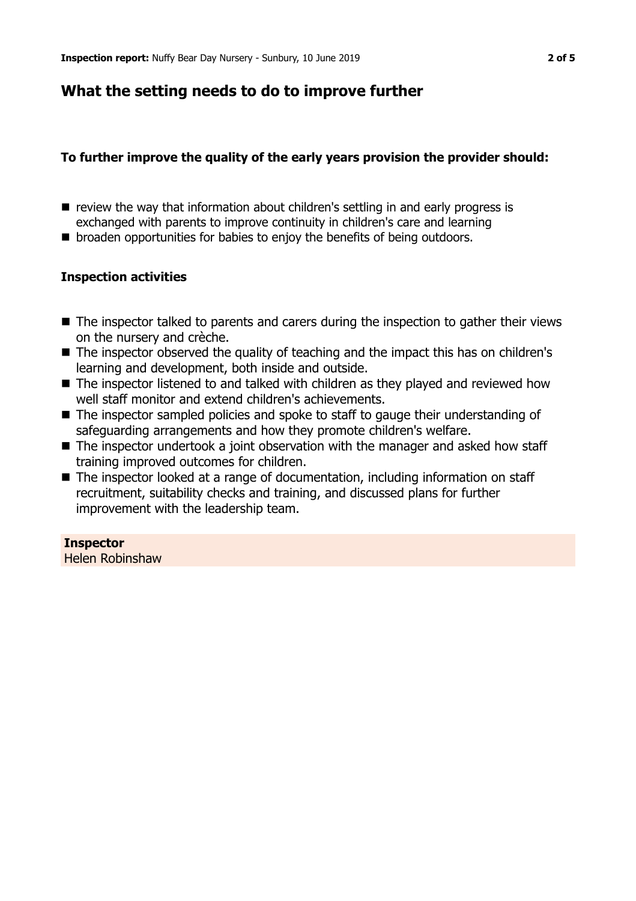# **What the setting needs to do to improve further**

### **To further improve the quality of the early years provision the provider should:**

- $\blacksquare$  review the way that information about children's settling in and early progress is exchanged with parents to improve continuity in children's care and learning
- broaden opportunities for babies to enjoy the benefits of being outdoors.

### **Inspection activities**

- $\blacksquare$  The inspector talked to parents and carers during the inspection to gather their views on the nursery and crèche.
- $\blacksquare$  The inspector observed the quality of teaching and the impact this has on children's learning and development, both inside and outside.
- $\blacksquare$  The inspector listened to and talked with children as they played and reviewed how well staff monitor and extend children's achievements.
- The inspector sampled policies and spoke to staff to gauge their understanding of safeguarding arrangements and how they promote children's welfare.
- $\blacksquare$  The inspector undertook a joint observation with the manager and asked how staff training improved outcomes for children.
- $\blacksquare$  The inspector looked at a range of documentation, including information on staff recruitment, suitability checks and training, and discussed plans for further improvement with the leadership team.

## **Inspector**

Helen Robinshaw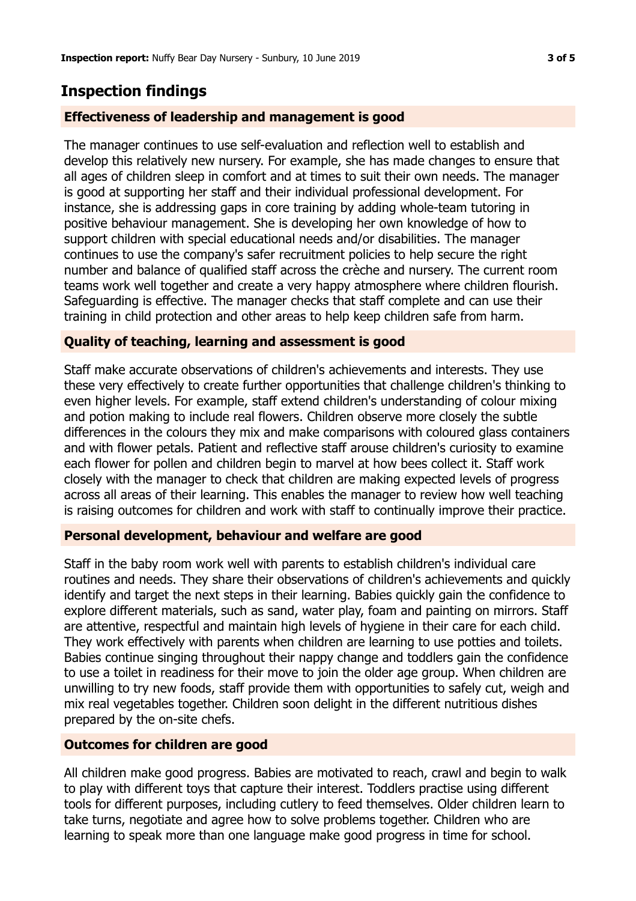## **Inspection findings**

#### **Effectiveness of leadership and management is good**

The manager continues to use self-evaluation and reflection well to establish and develop this relatively new nursery. For example, she has made changes to ensure that all ages of children sleep in comfort and at times to suit their own needs. The manager is good at supporting her staff and their individual professional development. For instance, she is addressing gaps in core training by adding whole-team tutoring in positive behaviour management. She is developing her own knowledge of how to support children with special educational needs and/or disabilities. The manager continues to use the company's safer recruitment policies to help secure the right number and balance of qualified staff across the crèche and nursery. The current room teams work well together and create a very happy atmosphere where children flourish. Safeguarding is effective. The manager checks that staff complete and can use their training in child protection and other areas to help keep children safe from harm.

#### **Quality of teaching, learning and assessment is good**

Staff make accurate observations of children's achievements and interests. They use these very effectively to create further opportunities that challenge children's thinking to even higher levels. For example, staff extend children's understanding of colour mixing and potion making to include real flowers. Children observe more closely the subtle differences in the colours they mix and make comparisons with coloured glass containers and with flower petals. Patient and reflective staff arouse children's curiosity to examine each flower for pollen and children begin to marvel at how bees collect it. Staff work closely with the manager to check that children are making expected levels of progress across all areas of their learning. This enables the manager to review how well teaching is raising outcomes for children and work with staff to continually improve their practice.

#### **Personal development, behaviour and welfare are good**

Staff in the baby room work well with parents to establish children's individual care routines and needs. They share their observations of children's achievements and quickly identify and target the next steps in their learning. Babies quickly gain the confidence to explore different materials, such as sand, water play, foam and painting on mirrors. Staff are attentive, respectful and maintain high levels of hygiene in their care for each child. They work effectively with parents when children are learning to use potties and toilets. Babies continue singing throughout their nappy change and toddlers gain the confidence to use a toilet in readiness for their move to join the older age group. When children are unwilling to try new foods, staff provide them with opportunities to safely cut, weigh and mix real vegetables together. Children soon delight in the different nutritious dishes prepared by the on-site chefs.

#### **Outcomes for children are good**

All children make good progress. Babies are motivated to reach, crawl and begin to walk to play with different toys that capture their interest. Toddlers practise using different tools for different purposes, including cutlery to feed themselves. Older children learn to take turns, negotiate and agree how to solve problems together. Children who are learning to speak more than one language make good progress in time for school.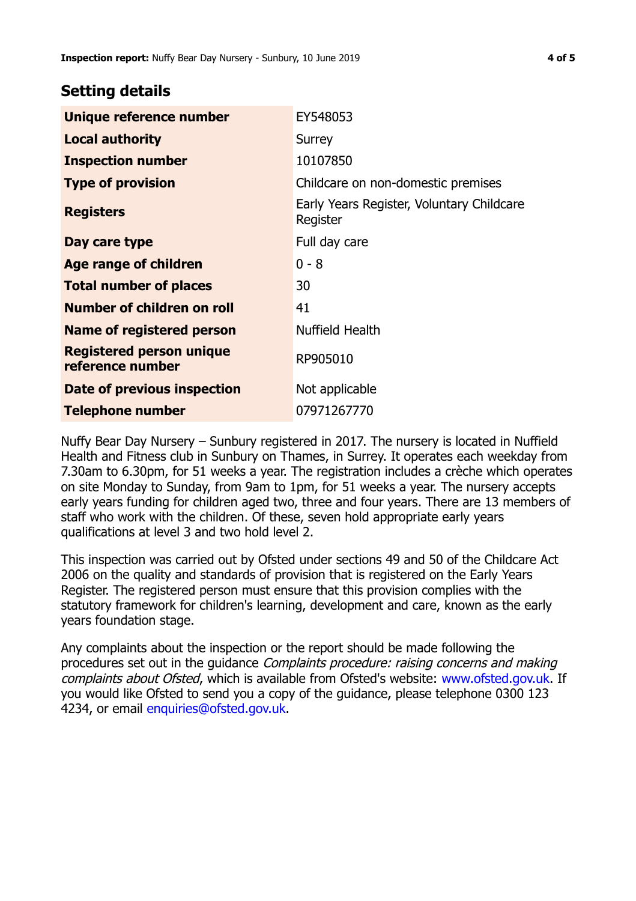## **Setting details**

| Unique reference number                             | EY548053                                              |  |
|-----------------------------------------------------|-------------------------------------------------------|--|
| <b>Local authority</b>                              | Surrey                                                |  |
| <b>Inspection number</b>                            | 10107850                                              |  |
| <b>Type of provision</b>                            | Childcare on non-domestic premises                    |  |
| <b>Registers</b>                                    | Early Years Register, Voluntary Childcare<br>Register |  |
| Day care type                                       | Full day care                                         |  |
| Age range of children                               | $0 - 8$                                               |  |
| <b>Total number of places</b>                       | 30                                                    |  |
| Number of children on roll                          | 41                                                    |  |
| <b>Name of registered person</b>                    | Nuffield Health                                       |  |
| <b>Registered person unique</b><br>reference number | RP905010                                              |  |
| Date of previous inspection                         | Not applicable                                        |  |
| <b>Telephone number</b>                             | 07971267770                                           |  |

Nuffy Bear Day Nursery – Sunbury registered in 2017. The nursery is located in Nuffield Health and Fitness club in Sunbury on Thames, in Surrey. It operates each weekday from 7.30am to 6.30pm, for 51 weeks a year. The registration includes a crèche which operates on site Monday to Sunday, from 9am to 1pm, for 51 weeks a year. The nursery accepts early years funding for children aged two, three and four years. There are 13 members of staff who work with the children. Of these, seven hold appropriate early years qualifications at level 3 and two hold level 2.

This inspection was carried out by Ofsted under sections 49 and 50 of the Childcare Act 2006 on the quality and standards of provision that is registered on the Early Years Register. The registered person must ensure that this provision complies with the statutory framework for children's learning, development and care, known as the early years foundation stage.

Any complaints about the inspection or the report should be made following the procedures set out in the guidance Complaints procedure: raising concerns and making complaints about Ofsted, which is available from Ofsted's website: www.ofsted.gov.uk. If you would like Ofsted to send you a copy of the guidance, please telephone 0300 123 4234, or email [enquiries@ofsted.gov.uk.](mailto:enquiries@ofsted.gov.uk)